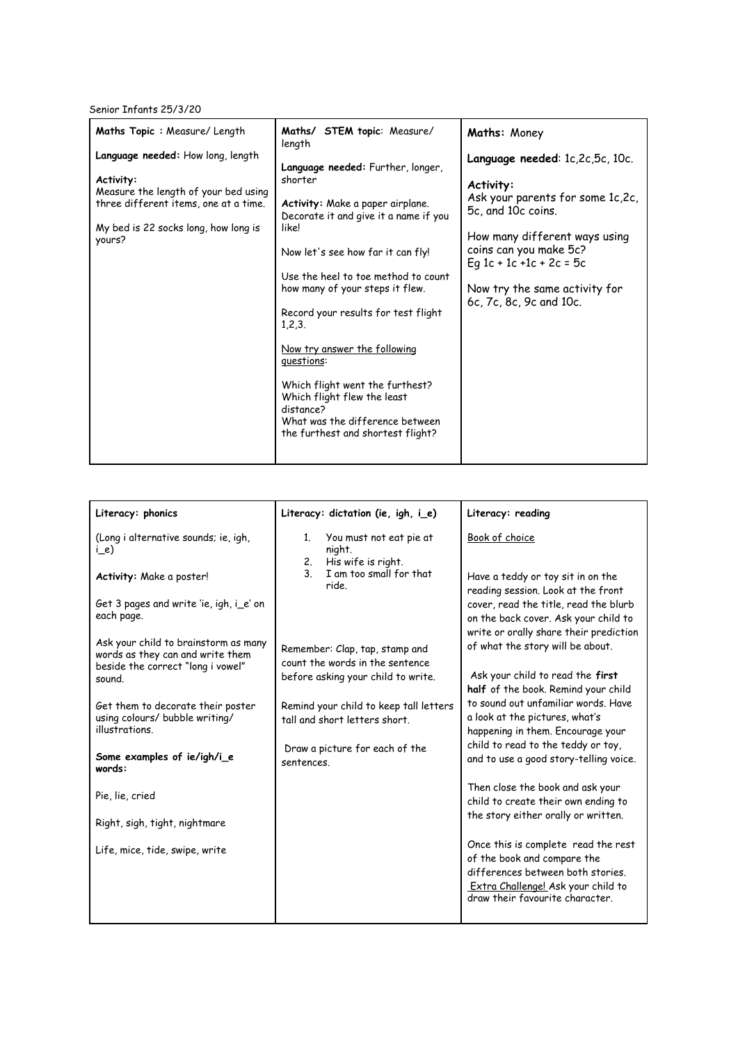Senior Infants 25/3/20

| Maths Topic: Measure/ Length<br>Language needed: How long, length<br>Activity:<br>Measure the length of your bed using<br>three different items, one at a time.<br>My bed is 22 socks long, how long is<br>yours? | Maths/ STEM topic: Measure/<br>length<br>Language needed: Further, longer,<br>shorter<br>Activity: Make a paper airplane.<br>Decorate it and give it a name if you<br>like!<br>Now let's see how far it can fly!<br>Use the heel to toe method to count<br>how many of your steps it flew.<br>Record your results for test flight<br>1,2,3.<br>Now try answer the following<br>questions:<br>Which flight went the furthest?<br>Which flight flew the least<br>distance?<br>What was the difference between | Maths: Money<br>Language needed: 1c,2c,5c, 10c.<br>Activity:<br>Ask your parents for some 1c,2c,<br>5c, and 10c coins.<br>How many different ways using<br>coins can you make 5c?<br>Eq 1c + 1c +1c + 2c = 5c<br>Now try the same activity for<br>6c, 7c, 8c, 9c and 10c. |
|-------------------------------------------------------------------------------------------------------------------------------------------------------------------------------------------------------------------|-------------------------------------------------------------------------------------------------------------------------------------------------------------------------------------------------------------------------------------------------------------------------------------------------------------------------------------------------------------------------------------------------------------------------------------------------------------------------------------------------------------|---------------------------------------------------------------------------------------------------------------------------------------------------------------------------------------------------------------------------------------------------------------------------|
|                                                                                                                                                                                                                   | the furthest and shortest flight?                                                                                                                                                                                                                                                                                                                                                                                                                                                                           |                                                                                                                                                                                                                                                                           |

| Literacy: phonics                                                                                             | Literacy: dictation (ie, igh, i_e)                                           | Literacy: reading                                                                                                                                                                |
|---------------------------------------------------------------------------------------------------------------|------------------------------------------------------------------------------|----------------------------------------------------------------------------------------------------------------------------------------------------------------------------------|
| (Long i alternative sounds; ie, igh,<br>i_e)                                                                  | You must not eat pie at<br>$1_{\cdot}$<br>night.<br>His wife is right.<br>2. | Book of choice                                                                                                                                                                   |
| Activity: Make a poster!                                                                                      | $\mathbf{3}$<br>I am too small for that<br>ride.                             | Have a teddy or toy sit in on the<br>reading session. Look at the front                                                                                                          |
| Get 3 pages and write 'ie, igh, i_e' on<br>each page.                                                         |                                                                              | cover, read the title, read the blurb<br>on the back cover. Ask your child to<br>write or orally share their prediction                                                          |
| Ask your child to brainstorm as many<br>words as they can and write them<br>beside the correct "long i vowel" | Remember: Clap, tap, stamp and<br>count the words in the sentence            | of what the story will be about.                                                                                                                                                 |
| sound.                                                                                                        | before asking your child to write.                                           | Ask your child to read the first<br>half of the book. Remind your child                                                                                                          |
| Get them to decorate their poster<br>using colours/ bubble writing/<br>illustrations.                         | Remind your child to keep tall letters<br>tall and short letters short.      | to sound out unfamiliar words. Have<br>a look at the pictures, what's<br>happening in them. Encourage your                                                                       |
| Some examples of ie/igh/i_e<br>words:                                                                         | Draw a picture for each of the<br>sentences.                                 | child to read to the teddy or toy,<br>and to use a good story-telling voice.                                                                                                     |
| Pie, lie, cried                                                                                               |                                                                              | Then close the book and ask your<br>child to create their own ending to                                                                                                          |
| Right, sigh, tight, nightmare                                                                                 |                                                                              | the story either orally or written.                                                                                                                                              |
| Life, mice, tide, swipe, write                                                                                |                                                                              | Once this is complete read the rest<br>of the book and compare the<br>differences between both stories.<br>Extra Challenge! Ask your child to<br>draw their favourite character. |